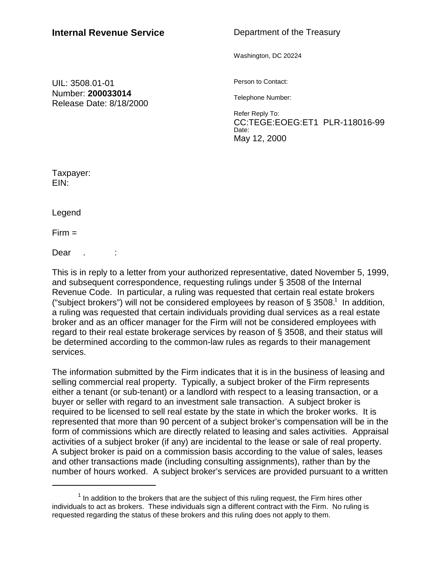## Department of the Treasury

Washington, DC 20224

UIL: 3508.01-01 Number: **200033014** Release Date: 8/18/2000 Person to Contact:

Telephone Number:

Refer Reply To: CC:TEGE:EOEG:ET1 PLR-118016-99 Date: May 12, 2000

Taxpayer: EIN:

Legend

 $Firm =$ 

Dear . :

This is in reply to a letter from your authorized representative, dated November 5, 1999, and subsequent correspondence, requesting rulings under § 3508 of the Internal Revenue Code. In particular, a ruling was requested that certain real estate brokers ("subject brokers") will not be considered employees by reason of  $\S 3508$ .<sup>1</sup> In addition, a ruling was requested that certain individuals providing dual services as a real estate broker and as an officer manager for the Firm will not be considered employees with regard to their real estate brokerage services by reason of § 3508, and their status will be determined according to the common-law rules as regards to their management services.

The information submitted by the Firm indicates that it is in the business of leasing and selling commercial real property. Typically, a subject broker of the Firm represents either a tenant (or sub-tenant) or a landlord with respect to a leasing transaction, or a buyer or seller with regard to an investment sale transaction. A subject broker is required to be licensed to sell real estate by the state in which the broker works. It is represented that more than 90 percent of a subject broker's compensation will be in the form of commissions which are directly related to leasing and sales activities. Appraisal activities of a subject broker (if any) are incidental to the lease or sale of real property. A subject broker is paid on a commission basis according to the value of sales, leases and other transactions made (including consulting assignments), rather than by the number of hours worked. A subject broker's services are provided pursuant to a written

 $1$  In addition to the brokers that are the subject of this ruling request, the Firm hires other individuals to act as brokers. These individuals sign a different contract with the Firm. No ruling is requested regarding the status of these brokers and this ruling does not apply to them.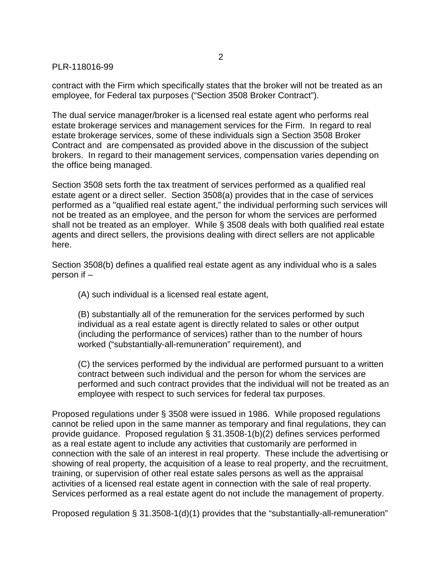## PLR-118016-99

contract with the Firm which specifically states that the broker will not be treated as an employee, for Federal tax purposes ("Section 3508 Broker Contract").

The dual service manager/broker is a licensed real estate agent who performs real estate brokerage services and management services for the Firm. In regard to real estate brokerage services, some of these individuals sign a Section 3508 Broker Contract and are compensated as provided above in the discussion of the subject brokers. In regard to their management services, compensation varies depending on the office being managed.

Section 3508 sets forth the tax treatment of services performed as a qualified real estate agent or a direct seller. Section 3508(a) provides that in the case of services performed as a "qualified real estate agent," the individual performing such services will not be treated as an employee, and the person for whom the services are performed shall not be treated as an employer. While § 3508 deals with both qualified real estate agents and direct sellers, the provisions dealing with direct sellers are not applicable here.

Section 3508(b) defines a qualified real estate agent as any individual who is a sales person if –

(A) such individual is a licensed real estate agent,

(B) substantially all of the remuneration for the services performed by such individual as a real estate agent is directly related to sales or other output (including the performance of services) rather than to the number of hours worked ("substantially-all-remuneration" requirement), and

(C) the services performed by the individual are performed pursuant to a written contract between such individual and the person for whom the services are performed and such contract provides that the individual will not be treated as an employee with respect to such services for federal tax purposes.

Proposed regulations under § 3508 were issued in 1986. While proposed regulations cannot be relied upon in the same manner as temporary and final regulations, they can provide guidance. Proposed regulation § 31.3508-1(b)(2) defines services performed as a real estate agent to include any activities that customarily are performed in connection with the sale of an interest in real property. These include the advertising or showing of real property, the acquisition of a lease to real property, and the recruitment, training, or supervision of other real estate sales persons as well as the appraisal activities of a licensed real estate agent in connection with the sale of real property. Services performed as a real estate agent do not include the management of property.

Proposed regulation § 31.3508-1(d)(1) provides that the "substantially-all-remuneration"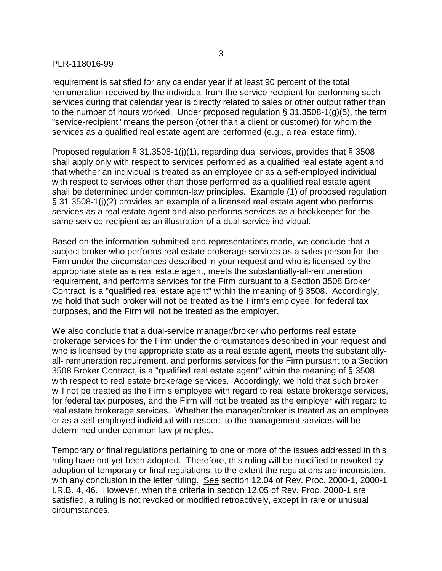## PLR-118016-99

requirement is satisfied for any calendar year if at least 90 percent of the total remuneration received by the individual from the service-recipient for performing such services during that calendar year is directly related to sales or other output rather than to the number of hours worked. Under proposed regulation § 31.3508-1(g)(5), the term "service-recipient" means the person (other than a client or customer) for whom the services as a qualified real estate agent are performed (e.g., a real estate firm).

Proposed regulation § 31.3508-1(j)(1), regarding dual services, provides that § 3508 shall apply only with respect to services performed as a qualified real estate agent and that whether an individual is treated as an employee or as a self-employed individual with respect to services other than those performed as a qualified real estate agent shall be determined under common-law principles. Example (1) of proposed regulation § 31.3508-1(j)(2) provides an example of a licensed real estate agent who performs services as a real estate agent and also performs services as a bookkeeper for the same service-recipient as an illustration of a dual-service individual.

Based on the information submitted and representations made, we conclude that a subject broker who performs real estate brokerage services as a sales person for the Firm under the circumstances described in your request and who is licensed by the appropriate state as a real estate agent, meets the substantially-all-remuneration requirement, and performs services for the Firm pursuant to a Section 3508 Broker Contract, is a "qualified real estate agent" within the meaning of § 3508. Accordingly, we hold that such broker will not be treated as the Firm's employee, for federal tax purposes, and the Firm will not be treated as the employer.

We also conclude that a dual-service manager/broker who performs real estate brokerage services for the Firm under the circumstances described in your request and who is licensed by the appropriate state as a real estate agent, meets the substantiallyall- remuneration requirement, and performs services for the Firm pursuant to a Section 3508 Broker Contract, is a "qualified real estate agent" within the meaning of § 3508 with respect to real estate brokerage services. Accordingly, we hold that such broker will not be treated as the Firm's employee with regard to real estate brokerage services, for federal tax purposes, and the Firm will not be treated as the employer with regard to real estate brokerage services. Whether the manager/broker is treated as an employee or as a self-employed individual with respect to the management services will be determined under common-law principles.

Temporary or final regulations pertaining to one or more of the issues addressed in this ruling have not yet been adopted. Therefore, this ruling will be modified or revoked by adoption of temporary or final regulations, to the extent the regulations are inconsistent with any conclusion in the letter ruling. See section 12.04 of Rev. Proc. 2000-1, 2000-1 I.R.B. 4, 46. However, when the criteria in section 12.05 of Rev. Proc. 2000-1 are satisfied, a ruling is not revoked or modified retroactively, except in rare or unusual circumstances.